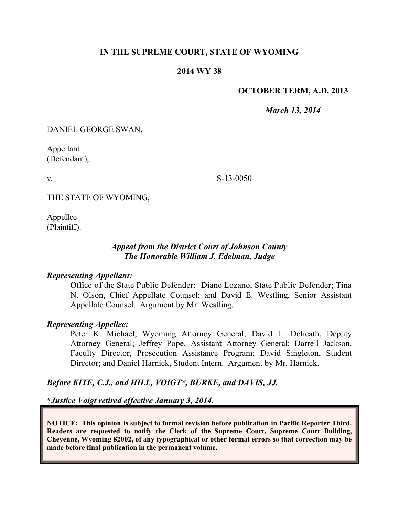## **IN THE SUPREME COURT, STATE OF WYOMING**

### **2014 WY 38**

#### **OCTOBER TERM, A.D. 2013**

*March 13, 2014*

DANIEL GEORGE SWAN,

Appellant (Defendant),

v.

S-13-0050

THE STATE OF WYOMING,

Appellee (Plaintiff).

## *Appeal from the District Court of Johnson County The Honorable William J. Edelman, Judge*

### *Representing Appellant:*

Office of the State Public Defender: Diane Lozano, State Public Defender; Tina N. Olson, Chief Appellate Counsel; and David E. Westling, Senior Assistant Appellate Counsel. Argument by Mr. Westling.

#### *Representing Appellee:*

Peter K. Michael, Wyoming Attorney General; David L. Delicath, Deputy Attorney General; Jeffrey Pope, Assistant Attorney General; Darrell Jackson, Faculty Director, Prosecution Assistance Program; David Singleton, Student Director; and Daniel Harnick, Student Intern. Argument by Mr. Harnick.

## *Before KITE, C.J., and HILL, VOIGT\*, BURKE, and DAVIS, JJ.*

**\****Justice Voigt retired effective January 3, 2014.*

**NOTICE: This opinion is subject to formal revision before publication in Pacific Reporter Third. Readers are requested to notify the Clerk of the Supreme Court, Supreme Court Building, Cheyenne, Wyoming 82002, of any typographical or other formal errors so that correction may be made before final publication in the permanent volume.**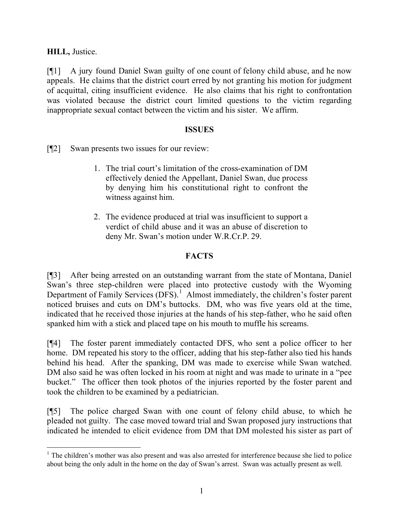**HILL,** Justice.

[¶1] A jury found Daniel Swan guilty of one count of felony child abuse, and he now appeals. He claims that the district court erred by not granting his motion for judgment of acquittal, citing insufficient evidence. He also claims that his right to confrontation was violated because the district court limited questions to the victim regarding inappropriate sexual contact between the victim and his sister. We affirm.

## **ISSUES**

[¶2] Swan presents two issues for our review:

- 1. The trial court's limitation of the cross-examination of DM effectively denied the Appellant, Daniel Swan, due process by denying him his constitutional right to confront the witness against him.
- 2. The evidence produced at trial was insufficient to support a verdict of child abuse and it was an abuse of discretion to deny Mr. Swan's motion under W.R.Cr.P. 29.

## **FACTS**

[¶3] After being arrested on an outstanding warrant from the state of Montana, Daniel Swan's three step-children were placed into protective custody with the Wyoming Department of Family Services (DFS).<sup>1</sup> Almost immediately, the children's foster parent noticed bruises and cuts on DM's buttocks. DM, who was five years old at the time, indicated that he received those injuries at the hands of his step-father, who he said often spanked him with a stick and placed tape on his mouth to muffle his screams.

[¶4] The foster parent immediately contacted DFS, who sent a police officer to her home. DM repeated his story to the officer, adding that his step-father also tied his hands behind his head. After the spanking, DM was made to exercise while Swan watched. DM also said he was often locked in his room at night and was made to urinate in a "pee bucket." The officer then took photos of the injuries reported by the foster parent and took the children to be examined by a pediatrician.

[¶5] The police charged Swan with one count of felony child abuse, to which he pleaded not guilty. The case moved toward trial and Swan proposed jury instructions that indicated he intended to elicit evidence from DM that DM molested his sister as part of

 $1$ . The children's mother was also present and was also arrested for interference because she lied to police about being the only adult in the home on the day of Swan's arrest. Swan was actually present as well.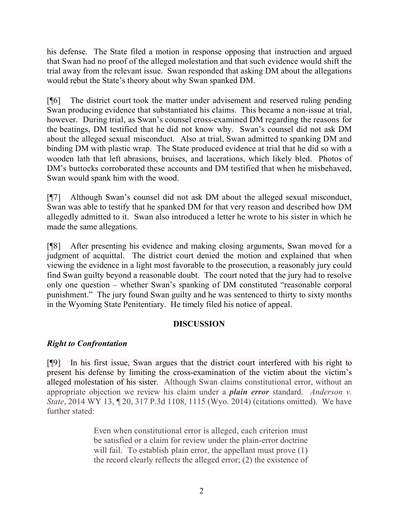his defense. The State filed a motion in response opposing that instruction and argued that Swan had no proof of the alleged molestation and that such evidence would shift the trial away from the relevant issue. Swan responded that asking DM about the allegations would rebut the State's theory about why Swan spanked DM.

[¶6] The district court took the matter under advisement and reserved ruling pending Swan producing evidence that substantiated his claims. This became a non-issue at trial, however. During trial, as Swan's counsel cross-examined DM regarding the reasons for the beatings, DM testified that he did not know why. Swan's counsel did not ask DM about the alleged sexual misconduct. Also at trial, Swan admitted to spanking DM and binding DM with plastic wrap. The State produced evidence at trial that he did so with a wooden lath that left abrasions, bruises, and lacerations, which likely bled. Photos of DM's buttocks corroborated these accounts and DM testified that when he misbehaved, Swan would spank him with the wood.

[¶7] Although Swan's counsel did not ask DM about the alleged sexual misconduct, Swan was able to testify that he spanked DM for that very reason and described how DM allegedly admitted to it. Swan also introduced a letter he wrote to his sister in which he made the same allegations.

[¶8] After presenting his evidence and making closing arguments, Swan moved for a judgment of acquittal. The district court denied the motion and explained that when viewing the evidence in a light most favorable to the prosecution, a reasonably jury could find Swan guilty beyond a reasonable doubt. The court noted that the jury had to resolve only one question – whether Swan's spanking of DM constituted "reasonable corporal punishment." The jury found Swan guilty and he was sentenced to thirty to sixty months in the Wyoming State Penitentiary. He timely filed his notice of appeal.

# **DISCUSSION**

# *Right to Confrontation*

[¶9] In his first issue, Swan argues that the district court interfered with his right to present his defense by limiting the cross-examination of the victim about the victim's alleged molestation of his sister. Although Swan claims constitutional error, without an appropriate objection we review his claim under a *plain error* standard. *Anderson v. State*, 2014 WY 13, ¶ 20, 317 P.3d 1108, 1115 (Wyo. 2014) (citations omitted). We have further stated:

> Even when constitutional error is alleged, each criterion must be satisfied or a claim for review under the plain-error doctrine will fail. To establish plain error, the appellant must prove (1) the record clearly reflects the alleged error; (2) the existence of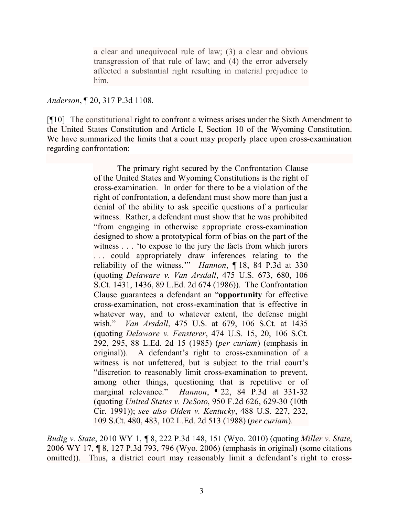a clear and unequivocal rule of law; (3) a clear and obvious transgression of that rule of law; and (4) the error adversely affected a substantial right resulting in material prejudice to him.

*Anderson*, ¶ 20, 317 P.3d 1108.

[¶10] The constitutional right to confront a witness arises under the Sixth Amendment to the United States Constitution and Article I, Section 10 of the Wyoming Constitution. We have summarized the limits that a court may properly place upon cross-examination regarding confrontation:

> The primary right secured by the Confrontation Clause of the United States and Wyoming Constitutions is the right of cross-examination. In order for there to be a violation of the right of confrontation, a defendant must show more than just a denial of the ability to ask specific questions of a particular witness. Rather, a defendant must show that he was prohibited "from engaging in otherwise appropriate cross-examination designed to show a prototypical form of bias on the part of the witness . . . 'to expose to the jury the facts from which jurors . . . could appropriately draw inferences relating to the reliability of the witness.'" *Hannon*, ¶ 18, 84 P.3d at 330 (quoting *Delaware v. Van Arsdall*, 475 U.S. 673, 680, 106 S.Ct. 1431, 1436, 89 L.Ed. 2d 674 (1986)). The Confrontation Clause guarantees a defendant an "**opportunity** for effective cross-examination, not cross-examination that is effective in whatever way, and to whatever extent, the defense might wish." *Van Arsdall*, 475 U.S. at 679, 106 S.Ct. at 1435 (quoting *Delaware v. Fensterer*, 474 U.S. 15, 20, 106 S.Ct. 292, 295, 88 L.Ed. 2d 15 (1985) (*per curiam*) (emphasis in original)). A defendant's right to cross-examination of a witness is not unfettered, but is subject to the trial court's "discretion to reasonably limit cross-examination to prevent, among other things, questioning that is repetitive or of marginal relevance." *Hannon*, ¶ 22, 84 P.3d at 331-32 (quoting *United States v. DeSoto*, 950 F.2d 626, 629-30 (10th Cir. 1991)); *see also Olden v. Kentucky*, 488 U.S. 227, 232, 109 S.Ct. 480, 483, 102 L.Ed. 2d 513 (1988) (*per curiam*).

*Budig v. State*, 2010 WY 1, *¶* 8, 222 P.3d 148, 151 (Wyo. 2010) (quoting *Miller v. State*, 2006 WY 17, ¶ 8, 127 P.3d 793, 796 (Wyo. 2006) (emphasis in original) (some citations omitted)). Thus, a district court may reasonably limit a defendant's right to cross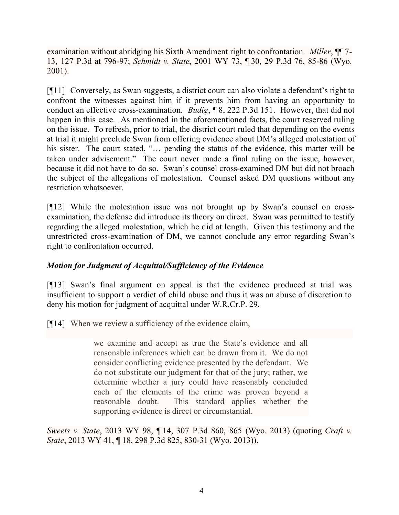examination without abridging his Sixth Amendment right to confrontation. *Miller*, ¶¶ 7- 13, 127 P.3d at 796-97; *Schmidt v. State*, 2001 WY 73, ¶ 30, 29 P.3d 76, 85-86 (Wyo. 2001).

[¶11] Conversely, as Swan suggests, a district court can also violate a defendant's right to confront the witnesses against him if it prevents him from having an opportunity to conduct an effective cross-examination. *Budig*, ¶ 8, 222 P.3d 151. However, that did not happen in this case. As mentioned in the aforementioned facts, the court reserved ruling on the issue. To refresh, prior to trial, the district court ruled that depending on the events at trial it might preclude Swan from offering evidence about DM's alleged molestation of his sister. The court stated, "... pending the status of the evidence, this matter will be taken under advisement." The court never made a final ruling on the issue, however, because it did not have to do so. Swan's counsel cross-examined DM but did not broach the subject of the allegations of molestation. Counsel asked DM questions without any restriction whatsoever.

[¶12] While the molestation issue was not brought up by Swan's counsel on crossexamination, the defense did introduce its theory on direct. Swan was permitted to testify regarding the alleged molestation, which he did at length. Given this testimony and the unrestricted cross-examination of DM, we cannot conclude any error regarding Swan's right to confrontation occurred.

# *Motion for Judgment of Acquittal/Sufficiency of the Evidence*

[¶13] Swan's final argument on appeal is that the evidence produced at trial was insufficient to support a verdict of child abuse and thus it was an abuse of discretion to deny his motion for judgment of acquittal under W.R.Cr.P. 29.

[¶14] When we review a sufficiency of the evidence claim,

we examine and accept as true the State's evidence and all reasonable inferences which can be drawn from it. We do not consider conflicting evidence presented by the defendant. We do not substitute our judgment for that of the jury; rather, we determine whether a jury could have reasonably concluded each of the elements of the crime was proven beyond a reasonable doubt. This standard applies whether the supporting evidence is direct or circumstantial.

*Sweets v. State*, 2013 WY 98, ¶ 14, 307 P.3d 860, 865 (Wyo. 2013) (quoting *Craft v. State*, 2013 WY 41, ¶ 18, 298 P.3d 825, 830-31 (Wyo. 2013)).